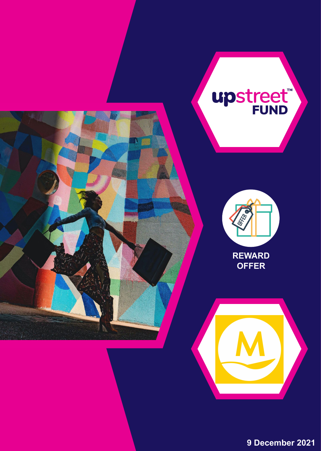

**9 December 2021**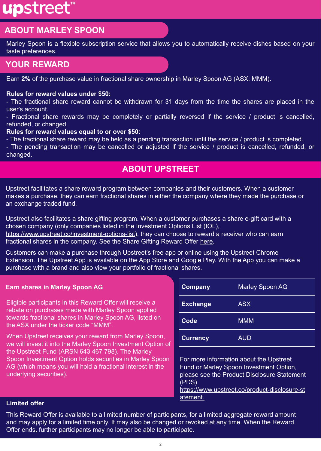# upstreet<sup>®</sup>

# **ABOUT MARLEY SPOON**

Marley Spoon is a flexible subscription service that allows you to automatically receive dishes based on your taste preferences.

# **YOUR REWARD**

Earn **2%** of the purchase value in fractional share ownership in Marley Spoon AG (ASX: MMM).

#### **Rules for reward values under \$50:**

- The fractional share reward cannot be withdrawn for 31 days from the time the shares are placed in the user's account.

- Fractional share rewards may be completely or partially reversed if the service / product is cancelled, refunded, or changed.

#### **Rules for reward values equal to or over \$50:**

- The fractional share reward may be held as a pending transaction until the service / product is completed.

- The pending transaction may be cancelled or adjusted if the service / product is cancelled, refunded, or changed.

## **ABOUT UPSTREET**

Upstreet facilitates a share reward program between companies and their customers. When a customer makes a purchase, they can earn fractional shares in either the company where they made the purchase or an exchange traded fund.

Upstreet also facilitates a share gifting program. When a customer purchases a share e-gift card with a chosen company (only companies listed in the Investment Options List (IOL),

[https://www.upstreet.co/investment-options-list\)](https://storage.googleapis.com/publicdocs.upstreet.co/2021-04-Upstreet-InvestmentOptions-6-Dec-2021.pdf), they can choose to reward a receiver who can earn fractional shares in the company. See the Share Gifting Reward Offer [here.](https://storage.googleapis.com/publicdocs.upstreet.co/2021-01-Share-Gifting-Reward-Offer.pdf)

Customers can make a purchase through Upstreet's free app or online using the Upstreet Chrome Extension. The Upstreet App is available on the App Store and Google Play. With the App you can make a purchase with a brand and also view your portfolio of fractional shares.

#### **Earn shares in Marley Spoon AG**

Eligible participants in this Reward Offer will receive a rebate on purchases made with Marley Spoon applied towards fractional shares in Marley Spoon AG, listed on the ASX under the ticker code "MMM".

When Upstreet receives your reward from Marley Spoon, we will invest it into the Marley Spoon Investment Option of the Upstreet Fund (ARSN 643 467 798). The Marley Spoon Investment Option holds securities in Marley Spoon AG (which means you will hold a fractional interest in the underlying securities).

| <b>Company</b>  | <b>Marley Spoon AG</b> |
|-----------------|------------------------|
| <b>Exchange</b> | <b>ASX</b>             |
| Code            | <b>MMM</b>             |
| <b>Currency</b> | <b>AUD</b>             |

For more information about the Upstreet Fund or Marley Spoon Investment Option, please see the Product Disclosure Statement (PDS)

[https://www.upstreet.co/product-disclosure-st](https://storage.googleapis.com/publicdocs.upstreet.co/2021-04-Upstreet-Product-Disclosure-Statement-05.pdf) [atement.](https://storage.googleapis.com/publicdocs.upstreet.co/2021-04-Upstreet-Product-Disclosure-Statement-05.pdf)

### **Limited offer**

This Reward Offer is available to a limited number of participants, for a limited aggregate reward amount and may apply for a limited time only. It may also be changed or revoked at any time. When the Reward Offer ends, further participants may no longer be able to participate.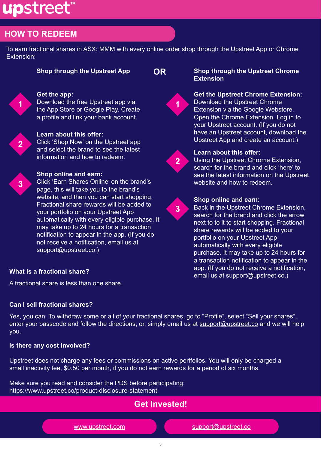# upstreet

# **HOW TO REDEEM**

To earn fractional shares in ASX: MMM with every online order shop through the Upstreet App or Chrome Extension:

#### **Get the app:**

Download the free Upstreet app via the App Store or Google Play. Create a profile and link your bank account.



**1**

#### **Learn about this offer:**

Click 'Shop Now' on the Upstreet app and select the brand to see the latest information and how to redeem.



### **Shop online and earn:**

Click 'Earn Shares Online' on the brand's page, this will take you to the brand's website, and then you can start shopping. Fractional share rewards will be added to your portfolio on your Upstreet App automatically with every eligible purchase. It may take up to 24 hours for a transaction notification to appear in the app. (If you do not receive a notification, email us at support@upstreet.co.)

#### **Shop through the Upstreet App OR Shop through the Upstreet Chrome Extension**



#### **Get the Upstreet Chrome Extension:**  Download the Upstreet Chrome Extension via the Google Webstore. Open the Chrome Extension. Log in to your Upstreet account. (If you do not have an Upstreet account, download the Upstreet App and create an account.)



**3**

#### **Learn about this offer:**

Using the Upstreet Chrome Extension, search for the brand and click 'here' to see the latest information on the Upstreet website and how to redeem.



Back in the Upstreet Chrome Extension, search for the brand and click the arrow next to to it to start shopping. Fractional share rewards will be added to your portfolio on your Upstreet App automatically with every eligible purchase. It may take up to 24 hours for a transaction notification to appear in the app. (If you do not receive a notification, email us at support@upstreet.co.)

### **What is a fractional share?**

A fractional share is less than one share.

### **Can I sell fractional shares?**

Yes, you can. To withdraw some or all of your fractional shares, go to "Profile", select "Sell your shares", enter your passcode and follow the directions, or, simply email us at [support@upstreet.co](mailto:support@upstreet.co) and we will help you.

### **Is there any cost involved?**

Upstreet does not charge any fees or commissions on active portfolios. You will only be charged a small inactivity fee, \$0.50 per month, if you do not earn rewards for a period of six months.

Make sure you read and consider the PDS before participating: https://www.upstreet.co/product-disclosure-statement.

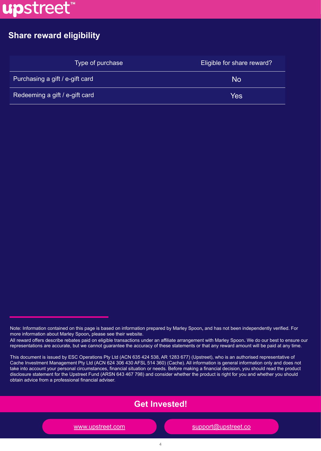

# **Share reward eligibility**

| Type of purchase                | <b>Eligible for share reward?</b> |
|---------------------------------|-----------------------------------|
| Purchasing a gift / e-gift card | <b>No</b>                         |
| Redeeming a gift / e-gift card  | Yes                               |

This document is issued by ESC Operations Pty Ltd (ACN 635 424 538, AR 1283 677) (Upstreet), who is an authorised representative of Cache Investment Management Pty Ltd (ACN 624 306 430 AFSL 514 360) (Cache). All information is general information only and does not take into account your personal circumstances, financial situation or needs. Before making a financial decision, you should read the product disclosure statement for the Upstreet Fund (ARSN 643 467 798) and consider whether the product is right for you and whether you should obtain advice from a professional financial adviser.



[www.upstreet.com](http://www.upstreet.co/) [support@upstreet.co](mailto:support@upstreet.co)m

Note: Information contained on this page is based on information prepared by Marley Spoon**,** and has not been independently verified. For more information about Marley Spoon**,** please see their website.

All reward offers describe rebates paid on eligible transactions under an affiliate arrangement with Marley Spoon**.** We do our best to ensure our representations are accurate, but we cannot guarantee the accuracy of these statements or that any reward amount will be paid at any time.